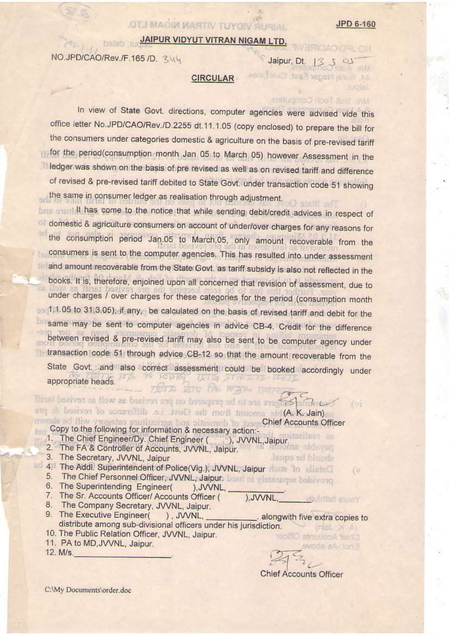**RENOADICE** CM

## JAIPUR VIDYUT VITRAN NIGAM LTD.

**OTJ MADIN MARTIN TUYOIV RUGIAL** 

NO.JPD/CAO/Rev./F.165/D. 344

## Jaipur, Dt.

44, Sura Nagar Sast, Civil Lines,

Mis Solt Tean Computers,

## **CIRCULAR**

In view of State Govt. directions, computer agencies were advised vide this office letter No.JPD/CAO/Rev./D.2255 dt.11.1.05 (copy enclosed) to prepare the bill for the consumers under categories domestic & agriculture on the basis of pre-revised tariff for the period(consumption month Jan 05 to March 05) however Assessment in the ledger was shown on the basis of pre revised as well as on revised tariff and difference of revised & pre-revised tariff debited to State Govt. under transaction code 51 showing the same in consumer ledger as realisation through adjustment. Atn12 HrTT

brow will li has come to the notice that while sending debit/credit advices in respect of domestic & agriculture consumers on account of under/over charges for any reasons for the consumption period Jan.05 to March,05, only amount recoverable from the consumers is sent to the computer agencies. This has resulted into under assessment and amount recoverable from the State Govt. as tariff subsidy is also not reflected in the books. It is, therefore, enjoined upon all concerned that revision of assessment, due to under charges / over charges for these categories for the period (consumption month 1.1.05 to 31.3.05), if any, be calculated on the basis of revised tariff and debit for the same may be sent to computer agencies in advice CB-4. Credit for the difference between revised & pre-revised tariff may also be sent to be computer agency under transaction code 51 through advice CB-12 so that the amount recoverable from the State Govt, and also correct assessment could be booked accordingly under KONDI ISIB appropriate heads. 7月7万 高石 (市 国会) 1月7

awode of Iliw vrogetas studiusings has siteameb to jose Chief Accounts Officer Copy to the following for information & necessary action:-

Thin I begiven as Ilsw an begiven any no benegaty ad of our greaters and the ong & bosiver to concrettib at Ivot) onl mort innorms old (A. K. Jain)

- 1. The Chief Engineer/Dy. Chief Engineer (California) JVVNL, Jaipur.<br>2. The FA & Controller of Accounts, JVVNL, Jaipur.
- 
- 3. The Secretary, JVVNL, Jaipur
- 4. The Addl. Superintendent of Police(Vig.), JVVNL, Jaipur 20 20 20 20
	- 5. The Chief Personnel Officer, JVVNL, Jaipur. The minister per behivions
	- 6. The Superintending Engineer( ), JVVNL,
	- 7. The Sr. Accounts Officer/ Accounts Officer (
	- 8. The Company Secretary, JVVNL, Jaipur.
	- 9. The Executive Engineer( ), JVVNL, . alongwith five extra copies to distribute among sub-divisional officers under his jurisdiction.
	- 10. The Public Relation Officer, JVVNL, Jaipur.
	- 11. PA to MD, JVVNL, Jaipur.

12. M/s.

**Chief Accounts Officer** 

laupa od bluoda

). JVVNL.

εv

**Minimal stuoy** 

wods aA-lon

Chief Accounts Officer

C:\My Documents\order.doc